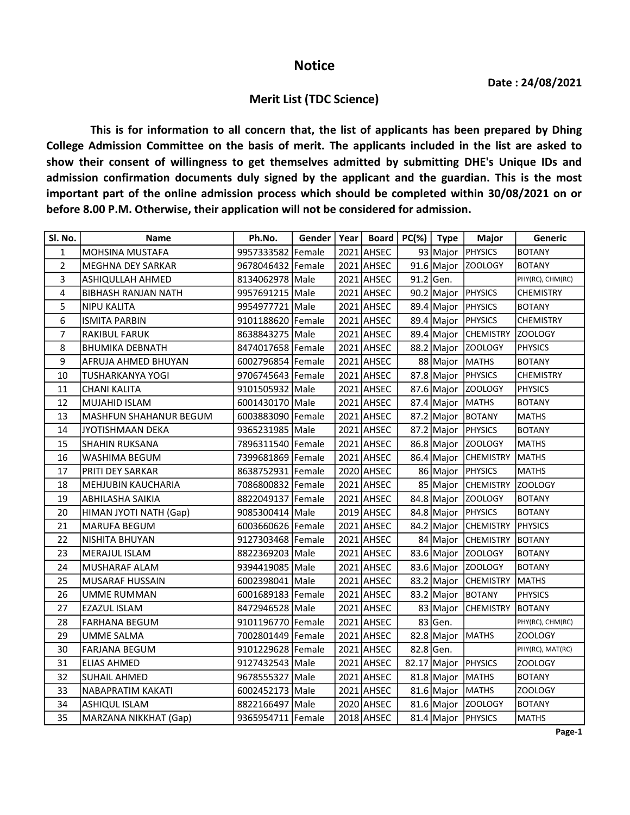## Notice

## Merit List (TDC Science)

This is for information to all concern that, the list of applicants has been prepared by Dhing College Admission Committee on the basis of merit. The applicants included in the list are asked to show their consent of willingness to get themselves admitted by submitting DHE's Unique IDs and admission confirmation documents duly signed by the applicant and the guardian. This is the most important part of the online admission process which should be completed within 30/08/2021 on or before 8.00 P.M. Otherwise, their application will not be considered for admission.

| Sl. No.      | <b>Name</b>                  | Ph.No.              | Gender   Year |            | Board   $PC(\%)$   Type |                  | <b>Major</b>                 | Generic          |
|--------------|------------------------------|---------------------|---------------|------------|-------------------------|------------------|------------------------------|------------------|
| $\mathbf{1}$ | MOHSINA MUSTAFA              | 9957333582 Female   |               | 2021 AHSEC |                         |                  | 93 Major PHYSICS             | <b>BOTANY</b>    |
| 2            | <b>MEGHNA DEY SARKAR</b>     | 9678046432 Female   |               | 2021 AHSEC |                         |                  | 91.6 Major ZOOLOGY           | <b>BOTANY</b>    |
| 3            | ASHIQULLAH AHMED             | 8134062978 Male     |               | 2021 AHSEC |                         | $91.2$ Gen.      |                              | PHY(RC), CHM(RC) |
| 4            | <b>BIBHASH RANJAN NATH</b>   | 9957691215 Male     |               | 2021 AHSEC |                         |                  | 90.2 Major PHYSICS           | <b>CHEMISTRY</b> |
| 5            | NIPU KALITA                  | 9954977721 Male     |               | 2021 AHSEC |                         | $89.4$ Major     | <b>PHYSICS</b>               | <b>BOTANY</b>    |
| 6            | <b>ISMITA PARBIN</b>         | 9101188620 Female   |               | 2021 AHSEC |                         | 89.4 Major       | PHYSICS                      | <b>CHEMISTRY</b> |
| 7            | RAKIBUL FARUK                | 8638843275   Male   |               | 2021 AHSEC |                         |                  | 89.4 Major CHEMISTRY         | <b>ZOOLOGY</b>   |
| 8            | <b>BHUMIKA DEBNATH</b>       | 8474017658 Female   |               | 2021 AHSEC |                         |                  | 88.2 Major ZOOLOGY           | PHYSICS          |
| 9            | AFRUJA AHMED BHUYAN          | 6002796854 Female   |               | 2021 AHSEC |                         | 88 Major MATHS   |                              | <b>BOTANY</b>    |
| 10           | TUSHARKANYA YOGI             | 9706745643 Female   |               | 2021 AHSEC |                         |                  | 87.8 Major PHYSICS           | <b>CHEMISTRY</b> |
| 11           | <b>CHANI KALITA</b>          | 9101505932 Male     |               | 2021 AHSEC |                         |                  | 87.6 Major Z00L0GY           | <b>PHYSICS</b>   |
| 12           | MUJAHID ISLAM                | 6001430170 Male     |               | 2021 AHSEC |                         | 87.4 Major MATHS |                              | <b>BOTANY</b>    |
| 13           | MASHFUN SHAHANUR BEGUM       | 6003883090   Female |               | 2021 AHSEC |                         |                  | 87.2 Major BOTANY            | <b>MATHS</b>     |
| 14           | JYOTISHMAAN DEKA             | 9365231985 Male     |               | 2021 AHSEC |                         |                  | 87.2 Major PHYSICS           | <b>BOTANY</b>    |
| 15           | SHAHIN RUKSANA               | 7896311540 Female   |               | 2021 AHSEC |                         |                  | 86.8 Major ZOOLOGY           | <b>MATHS</b>     |
| 16           | WASHIMA BEGUM                | 7399681869   Female |               | 2021 AHSEC |                         |                  | 86.4 Major CHEMISTRY         | <b>MATHS</b>     |
| 17           | PRITI DEY SARKAR             | 8638752931 Female   |               | 2020 AHSEC |                         |                  | 86 Major PHYSICS             | <b>MATHS</b>     |
| 18           | <b>MEHJUBIN KAUCHARIA</b>    | 7086800832 Female   |               | 2021 AHSEC |                         |                  | 85 Major CHEMISTRY ZOOLOGY   |                  |
| 19           | <b>ABHILASHA SAIKIA</b>      | 8822049137 Female   |               | 2021 AHSEC |                         |                  | 84.8 Major ZOOLOGY           | <b>BOTANY</b>    |
| 20           | HIMAN JYOTI NATH (Gap)       | 9085300414 Male     |               | 2019 AHSEC |                         |                  | 84.8 Major PHYSICS           | <b>BOTANY</b>    |
| 21           | <b>MARUFA BEGUM</b>          | 6003660626 Female   |               | 2021 AHSEC |                         |                  | 84.2 Major CHEMISTRY PHYSICS |                  |
| 22           | NISHITA BHUYAN               | 9127303468 Female   |               | 2021 AHSEC |                         |                  | 84 Major CHEMISTRY BOTANY    |                  |
| 23           | MERAJUL ISLAM                | 8822369203 Male     |               | 2021 AHSEC |                         |                  | 83.6 Major ZOOLOGY           | BOTANY           |
| 24           | MUSHARAF ALAM                | 9394419085 Male     |               | 2021 AHSEC |                         |                  | 83.6 Major ZOOLOGY           | <b>BOTANY</b>    |
| 25           | <b>MUSARAF HUSSAIN</b>       | 6002398041 Male     |               | 2021 AHSEC |                         |                  | 83.2 Major CHEMISTRY         | <b>MATHS</b>     |
| 26           | <b>UMME RUMMAN</b>           | 6001689183 Female   |               | 2021 AHSEC |                         |                  | 83.2 Major BOTANY            | PHYSICS          |
| 27           | EZAZUL ISLAM                 | 8472946528 Male     |               | 2021 AHSEC |                         |                  | 83 Major CHEMISTRY           | <b>BOTANY</b>    |
| 28           | <b>FARHANA BEGUM</b>         | 9101196770 Female   |               | 2021 AHSEC |                         | 83 Gen.          |                              | PHY(RC), CHM(RC) |
| 29           | <b>UMME SALMA</b>            | 7002801449   Female |               | 2021 AHSEC |                         | 82.8 Major MATHS |                              | <b>ZOOLOGY</b>   |
| 30           | <b>FARJANA BEGUM</b>         | 9101229628 Female   |               | 2021 AHSEC |                         | 82.8 Gen.        |                              | PHY(RC), MAT(RC) |
| 31           | <b>ELIAS AHMED</b>           | 9127432543 Male     |               | 2021 AHSEC |                         | $82.17$ Major    | PHYSICS                      | <b>ZOOLOGY</b>   |
| 32           | <b>SUHAIL AHMED</b>          | 9678555327 Male     |               | 2021 AHSEC |                         | $81.8$ Major     | MATHS                        | <b>BOTANY</b>    |
| 33           | NABAPRATIM KAKATI            | 6002452173 Male     |               | 2021 AHSEC |                         | 81.6 Major MATHS |                              | <b>ZOOLOGY</b>   |
| 34           | <b>ASHIQUL ISLAM</b>         | 8822166497 Male     |               | 2020 AHSEC |                         |                  | 81.6 Major ZOOLOGY           | <b>BOTANY</b>    |
| 35           | <b>MARZANA NIKKHAT (Gap)</b> | 9365954711 Female   |               | 2018 AHSEC |                         |                  | 81.4 Major PHYSICS           | <b>MATHS</b>     |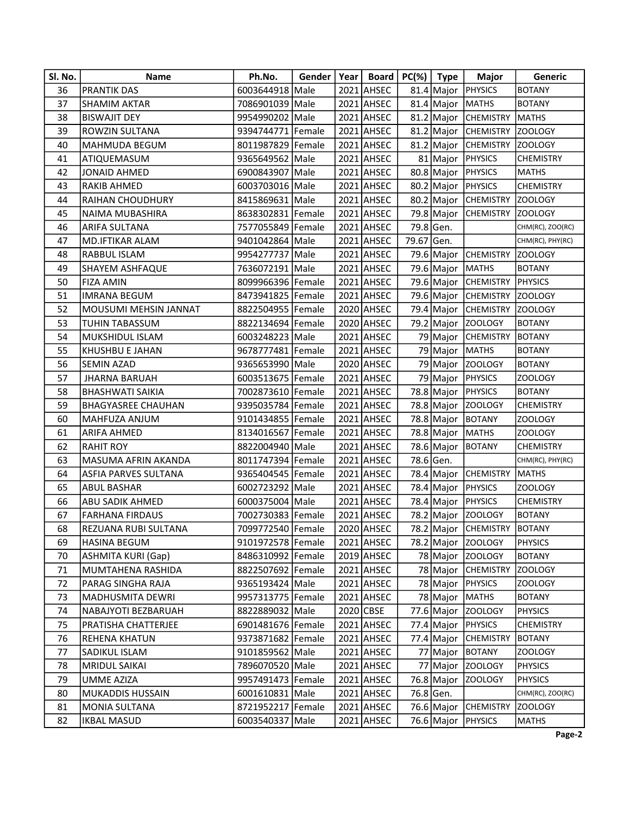| Sl. No. | Name                         | Ph.No.              | Gender | Year   Board   $PC(\%)$   Type |            |           | <b>Major</b>                 | Generic          |
|---------|------------------------------|---------------------|--------|--------------------------------|------------|-----------|------------------------------|------------------|
| 36      | <b>PRANTIK DAS</b>           | 6003644918 Male     |        | 2021 AHSEC                     |            |           | 81.4 Major PHYSICS           | <b>BOTANY</b>    |
| 37      | <b>SHAMIM AKTAR</b>          | 7086901039 Male     |        | 2021 AHSEC                     |            |           | 81.4 Major MATHS             | <b>BOTANY</b>    |
| 38      | <b>BISWAJIT DEY</b>          | 9954990202 Male     |        | 2021 AHSEC                     |            |           | 81.2 Major CHEMISTRY         | <b>MATHS</b>     |
| 39      | ROWZIN SULTANA               | 9394744771 Female   |        | 2021 AHSEC                     |            |           | 81.2 Major CHEMISTRY         | <b>ZOOLOGY</b>   |
| 40      | <b>MAHMUDA BEGUM</b>         | 8011987829 Female   |        | 2021 AHSEC                     |            |           | 81.2 Major CHEMISTRY         | ZOOLOGY          |
| 41      | ATIQUEMASUM                  | 9365649562 Male     |        | 2021 AHSEC                     |            |           | 81   Major   PHYSICS         | <b>CHEMISTRY</b> |
| 42      | JONAID AHMED                 | 6900843907 Male     |        | 2021 AHSEC                     |            |           | 80.8 Major PHYSICS           | <b>MATHS</b>     |
| 43      | RAKIB AHMED                  | 6003703016 Male     |        | 2021 AHSEC                     |            |           | 80.2 Major PHYSICS           | <b>CHEMISTRY</b> |
| 44      | <b>RAIHAN CHOUDHURY</b>      | 8415869631 Male     |        | 2021 AHSEC                     |            |           | 80.2 Major CHEMISTRY         | ZOOLOGY          |
| 45      | NAIMA MUBASHIRA              | 8638302831 Female   |        | 2021 AHSEC                     |            |           | 79.8 Major CHEMISTRY         | ZOOLOGY          |
| 46      | <b>ARIFA SULTANA</b>         | 7577055849 Female   |        | 2021 AHSEC                     |            | 79.8 Gen. |                              | CHM(RC), ZOO(RC) |
| 47      | <b>MD.IFTIKAR ALAM</b>       | 9401042864 Male     |        | 2021 AHSEC                     | 79.67 Gen. |           |                              | CHM(RC), PHY(RC) |
| 48      | RABBUL ISLAM                 | 9954277737 Male     |        | 2021 AHSEC                     |            |           | 79.6 Major CHEMISTRY ZOOLOGY |                  |
| 49      | SHAYEM ASHFAQUE              | 7636072191 Male     |        | 2021 AHSEC                     |            |           | 79.6 Major   MATHS           | <b>BOTANY</b>    |
| 50      | <b>FIZA AMIN</b>             | 8099966396 Female   |        | 2021 AHSEC                     |            |           | 79.6 Major CHEMISTRY PHYSICS |                  |
| 51      | <b>IMRANA BEGUM</b>          | 8473941825 Female   |        | 2021 AHSEC                     |            |           | 79.6 Major CHEMISTRY ZOOLOGY |                  |
| 52      | <b>MOUSUMI MEHSIN JANNAT</b> | 8822504955 Female   |        | 2020 AHSEC                     |            |           | 79.4 Major CHEMISTRY         | ZOOLOGY          |
| 53      | TUHIN TABASSUM               | 8822134694 Female   |        | 2020 AHSEC                     |            |           | 79.2 Major ZOOLOGY           | <b>BOTANY</b>    |
| 54      | MUKSHIDUL ISLAM              | 6003248223 Male     |        | 2021 AHSEC                     |            |           | 79 Major CHEMISTRY           | <b>BOTANY</b>    |
| 55      | KHUSHBU E JAHAN              | 9678777481 Female   |        | 2021 AHSEC                     |            |           | 79 Major MATHS               | <b>BOTANY</b>    |
| 56      | SEMIN AZAD                   | 9365653990 Male     |        | 2020 AHSEC                     |            |           | 79 Major ZOOLOGY             | <b>BOTANY</b>    |
| 57      | <b>JHARNA BARUAH</b>         | 6003513675 Female   |        | 2021 AHSEC                     |            |           | 79 Major PHYSICS             | ZOOLOGY          |
| 58      | <b>BHASHWATI SAIKIA</b>      | 7002873610 Female   |        | 2021 AHSEC                     |            |           | 78.8 Major PHYSICS           | <b>BOTANY</b>    |
| 59      | <b>BHAGYASREE CHAUHAN</b>    | 9395035784 Female   |        | 2021 AHSEC                     |            |           | 78.8 Major Z00L0GY           | <b>CHEMISTRY</b> |
| 60      | MAHFUZA ANJUM                | 9101434855 Female   |        | 2021 AHSEC                     |            |           | 78.8 Major BOTANY            | <b>ZOOLOGY</b>   |
| 61      | ARIFA AHMED                  | 8134016567 Female   |        | 2021 AHSEC                     |            |           | 78.8 Major MATHS             | <b>ZOOLOGY</b>   |
| 62      | <b>RAHIT ROY</b>             | 8822004940 Male     |        | 2021 AHSEC                     |            |           | 78.6 Major BOTANY            | <b>CHEMISTRY</b> |
| 63      | MASUMA AFRIN AKANDA          | 8011747394 Female   |        | 2021 AHSEC                     |            | 78.6 Gen. |                              | CHM(RC), PHY(RC) |
| 64      | <b>ASFIA PARVES SULTANA</b>  | 9365404545 Female   |        | 2021 AHSEC                     |            |           | 78.4 Major CHEMISTRY         | <b>MATHS</b>     |
| 65      | <b>ABUL BASHAR</b>           | 6002723292 Male     |        | 2021 AHSEC                     |            |           | 78.4 Major PHYSICS           | <b>ZOOLOGY</b>   |
| 66      | ABU SADIK AHMED              | 6000375004 Male     |        | 2021 AHSEC                     |            |           | 78.4 Major PHYSICS           | <b>CHEMISTRY</b> |
| 67      | <b>FARHANA FIRDAUS</b>       | 7002730383 Female   |        | 2021 AHSEC                     |            |           | 78.2 Major ZOOLOGY           | <b>BOTANY</b>    |
| 68      | REZUANA RUBI SULTANA         | 7099772540 Female   |        | 2020 AHSEC                     |            |           | 78.2 Major CHEMISTRY BOTANY  |                  |
| 69      | HASINA BEGUM                 | 9101972578 Female   |        | 2021 AHSEC                     |            |           | 78.2 Major Z00L0GY           | <b>PHYSICS</b>   |
| 70      | <b>ASHMITA KURI (Gap)</b>    | 8486310992   Female |        | 2019 AHSEC                     |            |           | 78 Major ZOOLOGY             | <b>BOTANY</b>    |
| 71      | MUMTAHENA RASHIDA            | 8822507692 Female   |        | 2021 AHSEC                     |            |           | 78 Major CHEMISTRY           | ZOOLOGY          |
| 72      | PARAG SINGHA RAJA            | 9365193424 Male     |        | 2021 AHSEC                     |            |           | 78 Major PHYSICS             | ZOOLOGY          |
| 73      | MADHUSMITA DEWRI             | 9957313775 Female   |        | 2021 AHSEC                     |            |           | 78 Major MATHS               | <b>BOTANY</b>    |
| 74      | NABAJYOTI BEZBARUAH          | 8822889032 Male     |        | 2020 CBSE                      |            |           | 77.6 Major ZOOLOGY           | <b>PHYSICS</b>   |
| 75      | PRATISHA CHATTERJEE          | 6901481676 Female   |        | 2021 AHSEC                     |            |           | 77.4 Major PHYSICS           | <b>CHEMISTRY</b> |
| 76      | REHENA KHATUN                | 9373871682 Female   |        | 2021 AHSEC                     |            |           | 77.4 Major CHEMISTRY         | <b>BOTANY</b>    |
| 77      | SADIKUL ISLAM                | 9101859562 Male     |        | 2021 AHSEC                     |            |           | 77 Major BOTANY              | ZOOLOGY          |
| 78      | <b>MRIDUL SAIKAI</b>         | 7896070520 Male     |        | 2021 AHSEC                     |            |           | 77 Major ZOOLOGY             | <b>PHYSICS</b>   |
| 79      | UMME AZIZA                   | 9957491473 Female   |        | 2021 AHSEC                     |            |           | 76.8 Major ZOOLOGY           | <b>PHYSICS</b>   |
| 80      | MUKADDIS HUSSAIN             | 6001610831 Male     |        | 2021 AHSEC                     |            | 76.8 Gen. |                              | CHM(RC), ZOO(RC) |
| 81      | <b>MONIA SULTANA</b>         | 8721952217 Female   |        | 2021 AHSEC                     |            |           | 76.6 Major CHEMISTRY         | ZOOLOGY          |
| 82      | <b>IKBAL MASUD</b>           | 6003540337 Male     |        | 2021 AHSEC                     |            |           | 76.6 Major PHYSICS           | <b>MATHS</b>     |